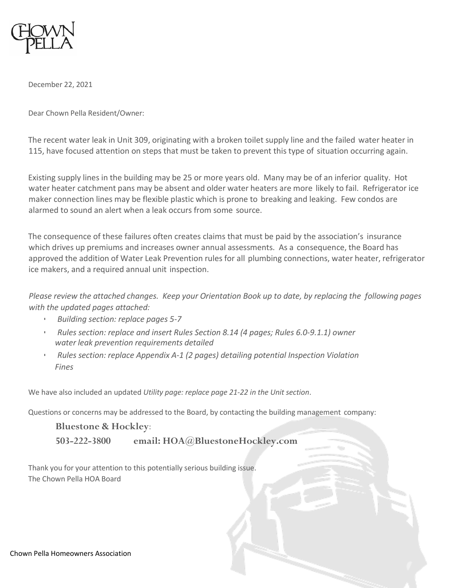

December 22, 2021

Dear Chown Pella Resident/Owner:

The recent water leak in Unit 309, originating with a broken toilet supply line and the failed water heater in 115, have focused attention on steps that must be taken to prevent this type of situation occurring again.

Existing supply lines in the building may be 25 or more years old. Many may be of an inferior quality. Hot water heater catchment pans may be absent and older water heaters are more likely to fail. Refrigerator ice maker connection lines may be flexible plastic which is prone to breaking and leaking. Few condos are alarmed to sound an alert when a leak occurs from some source.

The consequence of these failures often creates claims that must be paid by the association's insurance which drives up premiums and increases owner annual assessments. As a consequence, the Board has approved the addition of Water Leak Prevention rules for all plumbing connections, water heater, refrigerator ice makers, and a required annual unit inspection.

Please review the attached changes. Keep your Orientation Book up to date, by replacing the following pages *with the updated pages attached:*

- *Building section: replace pages 5-7*
- *Rules section: replace and insert Rules Section 8.14 (4 pages; Rules 6.0-9.1.1) owner water leak prevention requirements detailed*
- *Rules section: replace Appendix A-1 (2 pages) detailing potential Inspection Violation Fines*

We have also included an updated *Utility page: replace page 21-22 in the Unit section*.

Questions or concerns may be addressed to the Board, by contacting the building management company:

**Bluestone & Hockley**: **503-222-3800 email: [HOA@BluestoneHockley.com](mailto:HOA@BluestoneHockley.com)**

Thank you for your attention to this potentially serious building issue. The Chown Pella HOA Board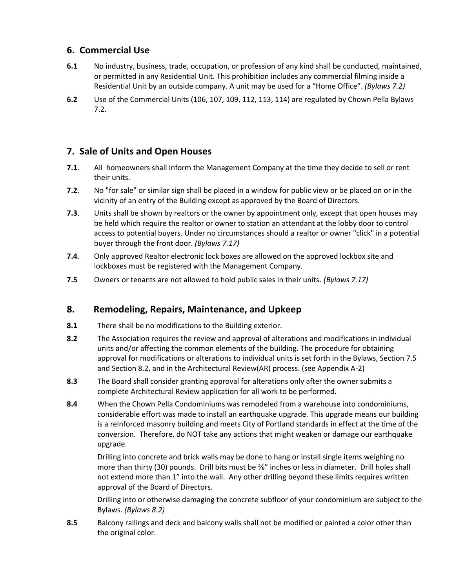## **6. Commercial Use**

- **6.1** No industry, business, trade, occupation, or profession of any kind shall be conducted, maintained, or permitted in any Residential Unit. This prohibition includes any commercial filming inside a Residential Unit by an outside company. A unit may be used for a "Home Office". *(Bylaws 7.2)*
- **6.2** Use of the Commercial Units (106, 107, 109, 112, 113, 114) are regulated by Chown Pella Bylaws 7.2.

## **7. Sale of Units and Open Houses**

- **7.1**. All homeowners shall inform the Management Company at the time they decide to sell or rent their units.
- **7.2**. No "for sale" or similar sign shall be placed in a window for public view or be placed on or in the vicinity of an entry of the Building except as approved by the Board of Directors.
- net units.<br>
Their units.<br>
Their units.<br>
Their units are many of the Building except as approved by the Board of Directors.<br>
Internal be shown by realtors or the owere by appropriment only, except that<br>
Internal be shown by **7.3**. Units shall be shown by realtors or the owner by appointment only, except that open houses may be held which require the realtor or owner to station an attendant at the lobby door to control access to potential buyers. Under no circumstances should a realtor or owner "click" in a potential buyer through the front door. *(Bylaws 7.17)*
- **7.4**. Only approved Realtor electronic lock boxes are allowed on the approved lockbox site and lockboxes must be registered with the Management Company.
- **7.5** Owners or tenants are not allowed to hold public sales in their units. *(Bylaws 7.17)*

## **8. Remodeling, Repairs, Maintenance, and Upkeep**

- **8.1** There shall be no modifications to the Building exterior.
- **8.2** The Association requires the review and approval of alterations and modifications in individual units and/or affecting the common elements of the building. The procedure for obtaining approval for modifications or alterations to individual units is set forth in the Bylaws, Section 7.5 and Section 8.2, and in the Architectural Review(AR) process. (see Appendix A-2)
- **8.3** The Board shall consider granting approval for alterations only after the owner submits a complete Architectural Review application for all work to be performed.
- **8.4** When the Chown Pella Condominiums was remodeled from a warehouse into condominiums, considerable effort was made to install an earthquake upgrade. This upgrade means our building is a reinforced masonry building and meets City of Portland standards in effect at the time of the conversion. Therefore, do NOT take any actions that might weaken or damage our earthquake upgrade.

Drilling into concrete and brick walls may be done to hang or install single items weighing no more than thirty (30) pounds. Drill bits must be  $\frac{3}{8}$ " inches or less in diameter. Drill holes shall not extend more than 1" into the wall. Any other drilling beyond these limits requires written approval of the Board of Directors.

Drilling into or otherwise damaging the concrete subfloor of your condominium are subject to the Bylaws. *(Bylaws 8.2)*

**8.5** Balcony railings and deck and balcony walls shall not be modified or painted a color other than the original color.